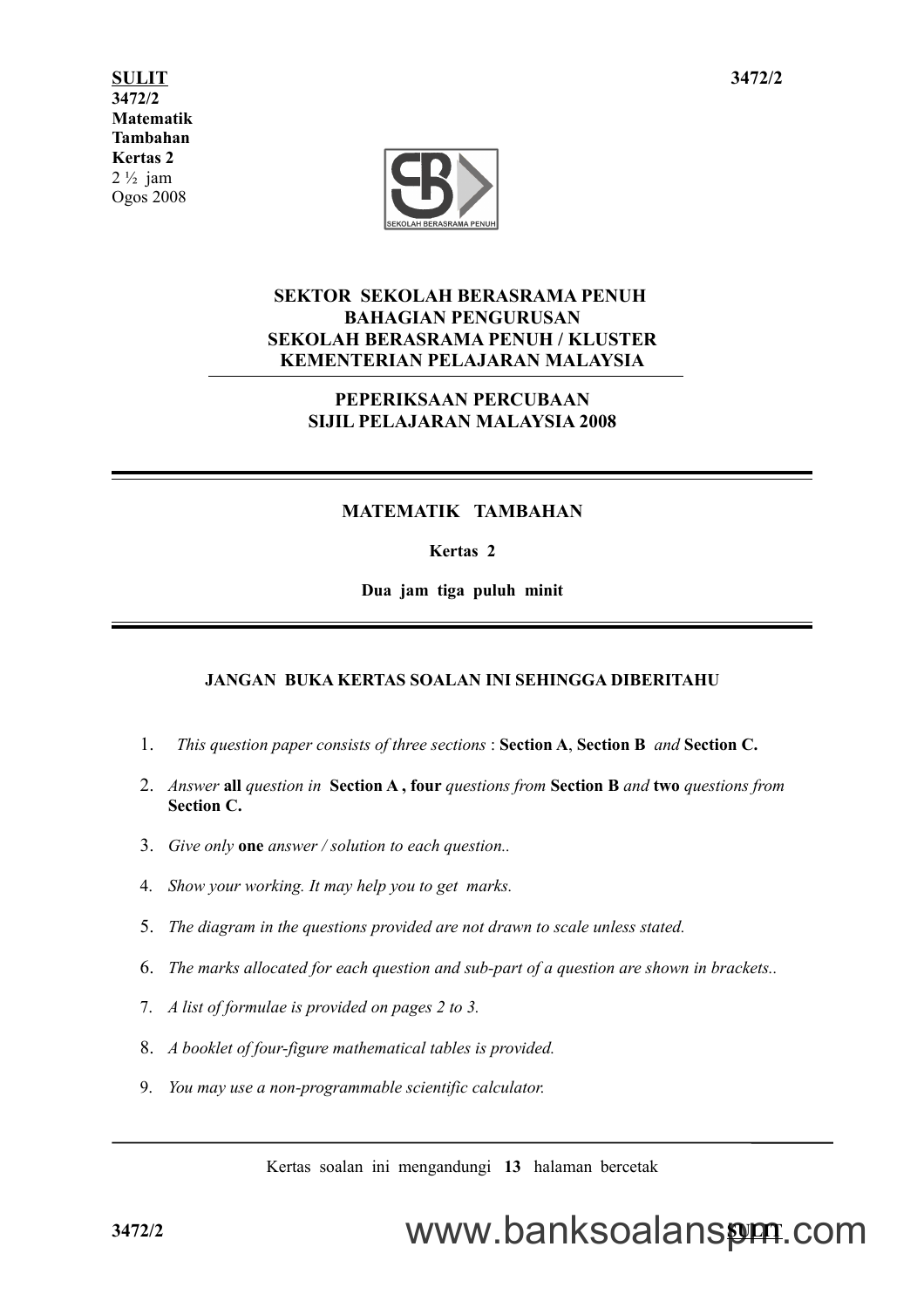**SULIT 1 3472/2 3472/2 Matematik Tambahan Kertas 2**  $2\frac{1}{2}$  jam Ogos 2008



#### **SEKTOR SEKOLAH BERASRAMA PENUH BAHAGIAN PENGURUSAN SEKOLAH BERASRAMA PENUH / KLUSTER KEMENTERIAN PELAJARAN MALAYSIA**

#### **PEPERIKSAAN PERCUBAAN SIJIL PELAJARAN MALAYSIA 2008**

#### **MATEMATIK TAMBAHAN**

#### **Kertas 2**

**Dua jam tiga puluh minit**

#### **JANGAN BUKA KERTAS SOALAN INI SEHINGGA DIBERITAHU**

- 1. *This question paper consists of three sections* : **Section A**, **Section B** *and* **Section C.**
- 2. *Answer* **all** *question in* **Section A , four** *questions from* **Section B** *and* **two** *questions from* **Section C.**
- 3. *Give only* **one** *answer / solution to each question..*
- 4. *Show your working. It may help you to get marks.*
- 5. *The diagram in the questions provided are not drawn to scale unless stated.*
- 6. *The marks allocated for each question and sub-part of a question are shown in brackets..*
- 7. *A list of formulae is provided on pages 2 to 3.*
- 8. *A booklet of four-figure mathematical tables is provided.*
- 9. *You may use a non-programmable scientific calculator.*

Kertas soalan ini mengandungi **13** halaman bercetak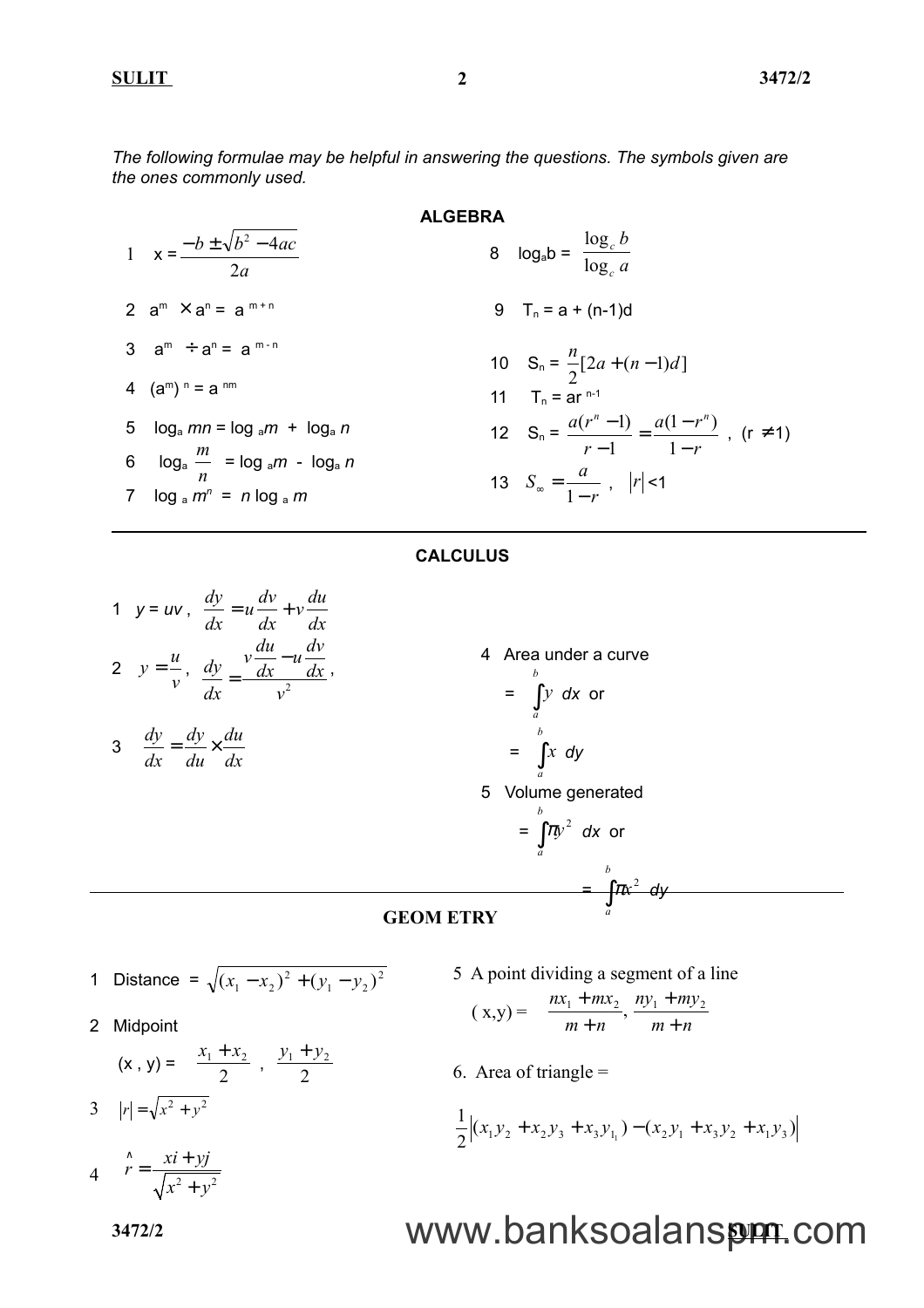**SULIT 3472/2**

*The following formulae may be helpful in answering the questions. The symbols given are the ones commonly used.*

1 
$$
x = \frac{-b \pm \sqrt{b^2 - 4ac}}{2a}
$$
  
\n2 
$$
a^{m} \times a^{n} = a^{m+n}
$$
  
\n3 
$$
a^{m} \div a^{n} = a^{m-n}
$$
  
\n4 
$$
(a^{m})^{n} = a^{nm}
$$
  
\n5 
$$
\log_a mn = \log_a m + \log_a n
$$
  
\n6 
$$
\log_a \frac{m}{n} = \log_a m - \log_a n
$$
  
\n7 
$$
\log_a m^{n} = n \log_a m
$$

**ALGEBRA** 8  $log_a b = \frac{c_c}{log_c a}$ log log

9 
$$
T_n = a + (n-1)d
$$

10 
$$
S_n = \frac{n}{2} [2a + (n-1)d]
$$
  
\n11  $T_n = ar^{n-1}$   
\n12  $S_n = \frac{a(r^n - 1)}{r - 1} = \frac{a(1 - r^n)}{1 - r}$ , (r \ne 1)  
\n13  $S_\infty = \frac{a}{1 - r}$ ,  $|r| < 1$ 

*b*

*c c*

#### **CALCULUS**

1 
$$
y = uv
$$
,  $\frac{dy}{dx} = u \frac{dv}{dx} + v \frac{du}{dx}$   
\n2  $y = \frac{u}{v}$ ,  $\frac{dy}{dx} = \frac{v \frac{du}{dx} - u \frac{dv}{dx}}{v^2}$ 

$$
3 \quad \frac{dy}{dx} = \frac{dy}{du} \times \frac{du}{dx}
$$

4 Area under a curve  
\n
$$
= \int_{a}^{b} y \, dx \text{ or}
$$
\n
$$
= \int_{a}^{b} x \, dy
$$
\n5 Volume generated  
\n
$$
= \int_{a}^{b} \pi y^2 \, dx \text{ or}
$$
\n
$$
= \int_{a}^{b} \pi x^2 \, dy
$$

#### **GEOM ETRY**

1 Distance = 
$$
\sqrt{(x_1 - x_2)^2 + (y_1 - y_2)^2}
$$

2 Midpoint

$$
(\mathbf{x}, \mathbf{y}) = \left(\frac{x_1 + x_2}{2}, \frac{y_1 + y_2}{2}\right)
$$
  
3  $|r| = \sqrt{x^2 + y^2}$ 

 $4 \qquad r = \frac{10}{\sqrt{x^2 + 1^2}}$  $\hat{r} = \frac{xi + yj}{\sqrt{2}}$  $\hat{r} = \frac{xi + \mu}{\sqrt{2\pi}}$ 

 $x^2 + y^2$ 

+

5 A point dividing a segment of a line

$$
(x,y) = \left(\frac{nx_1 + mx_2}{m+n}, \frac{ny_1 + my_2}{m+n}\right)
$$

6. Area of triangle  $=$ 

$$
\frac{1}{2}\Big|(x_1y_2 + x_2y_3 + x_3y_{1_1}) - (x_2y_1 + x_3y_2 + x_1y_3)\Big|
$$

# **3472/2 SULIT** www.banksoalanspm.com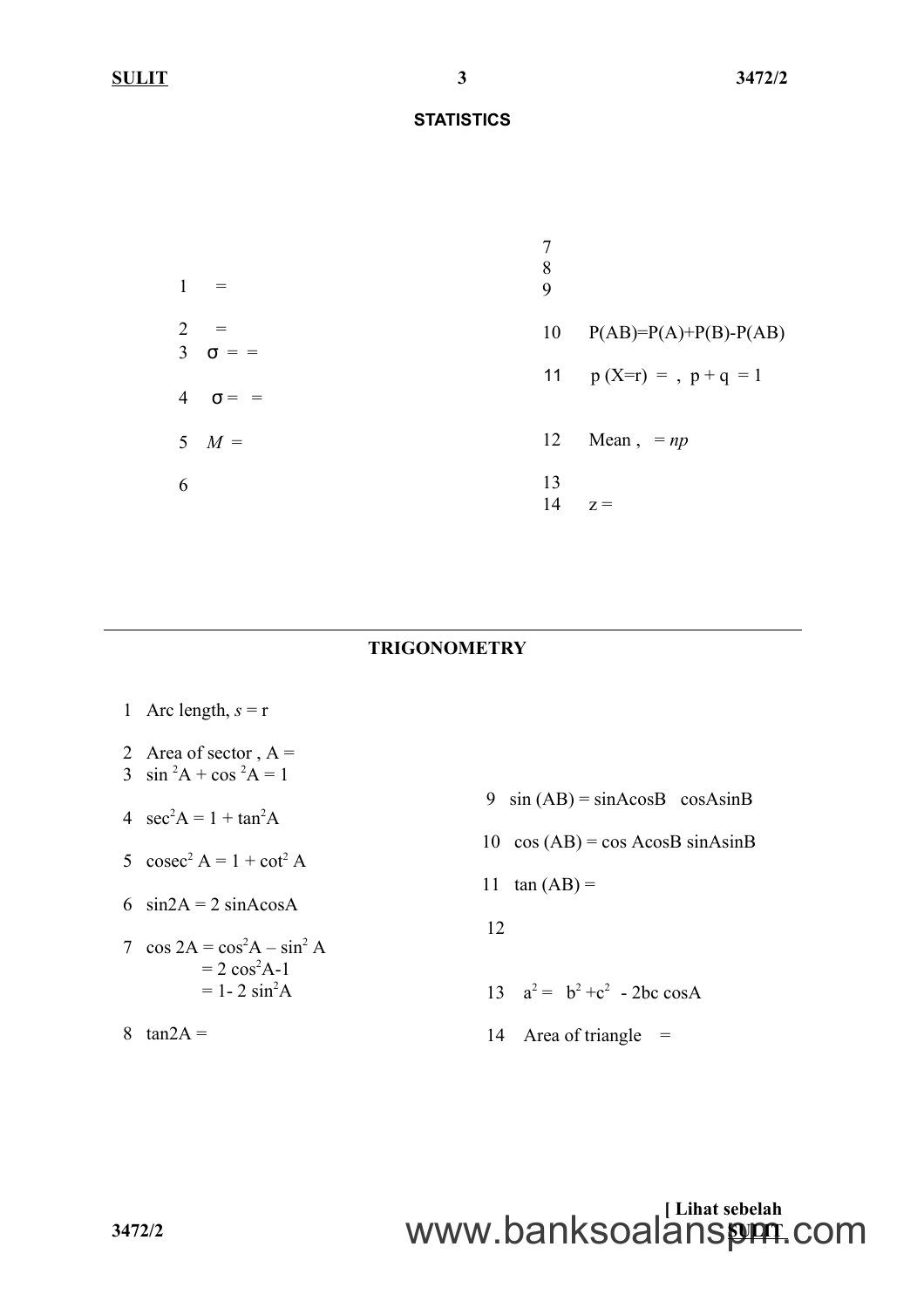| $\mathbf{1}$                     | $=$         | 7<br>8<br>9 |                         |
|----------------------------------|-------------|-------------|-------------------------|
| $\overline{2}$<br>$\overline{3}$ | $\sigma =$  | 10          | $P(AB)=P(A)+P(B)-P(AB)$ |
|                                  | $4\sigma =$ |             | 11 $p(X=r) = p + q = 1$ |
|                                  | 5 $M =$     | 12          | Mean, $= np$            |
| 6                                |             | 13<br>14    | $Z =$                   |

### **TRIGONOMETRY**

| 1 Arc length, $s = r$                                  |                                              |
|--------------------------------------------------------|----------------------------------------------|
| 2 Area of sector, $A =$<br>3 $\sin^2 A + \cos^2 A = 1$ |                                              |
| 4 $sec^2 A = 1 + tan^2 A$                              | 9 $sin(AB) = sinAcosB cosAsinB$              |
| 5 $\csc^2 A = 1 + \cot^2 A$                            | 10 $\cos (AB) = \cos A \cos B \sin A \sin B$ |
| 6 $sin2A = 2 sinA cosA$                                | $tan (AB) =$<br>11                           |
| 7 $\cos 2A = \cos^2 A - \sin^2 A$                      | 12                                           |
| $= 2 \cos^2 A - 1$<br>$= 1 - 2 \sin^2 A$               | 13 $a^2 = b^2 + c^2$ - 2bc cosA              |
| 8<br>$tan2A =$                                         | 14 Area of triangle $=$                      |

# **[ Lihat sebelah 3472/2 SULIT** www.banksoalanspm.com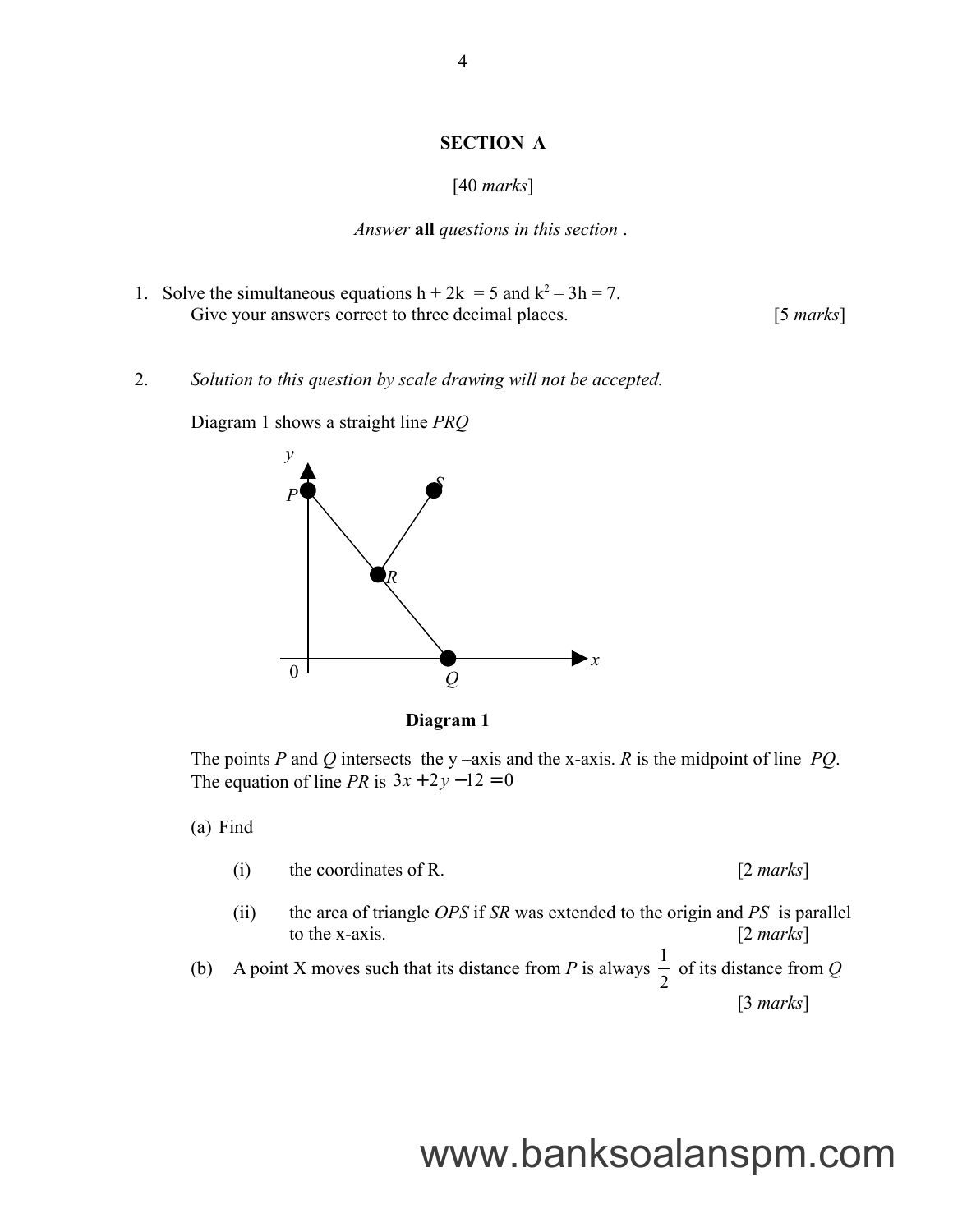#### **SECTION A**

#### [40 *marks*]

*Answer* **all** *questions in this section* .

- 1. Solve the simultaneous equations  $h + 2k = 5$  and  $k^2 3h = 7$ . Give your answers correct to three decimal places. [5 *marks*]
- 2. *Solution to this question by scale drawing will not be accepted.*



Diagram 1 shows a straight line *PRQ*

**Diagram 1**

The points *P* and *Q* intersects the y –axis and the x-axis. *R* is the midpoint of line *PQ*. The equation of line *PR* is  $3x + 2y - 12 = 0$ 

(a) Find

- (i) the coordinates of R. [2 *marks*]
- (ii) the area of triangle *OPS* if *SR* was extended to the origin and *PS* is parallel to the x-axis. [2 *marks*]
- (b) A point X moves such that its distance from *P* is always 2 1 of its distance from *Q* [3 *marks*]

# www.banksoalanspm.com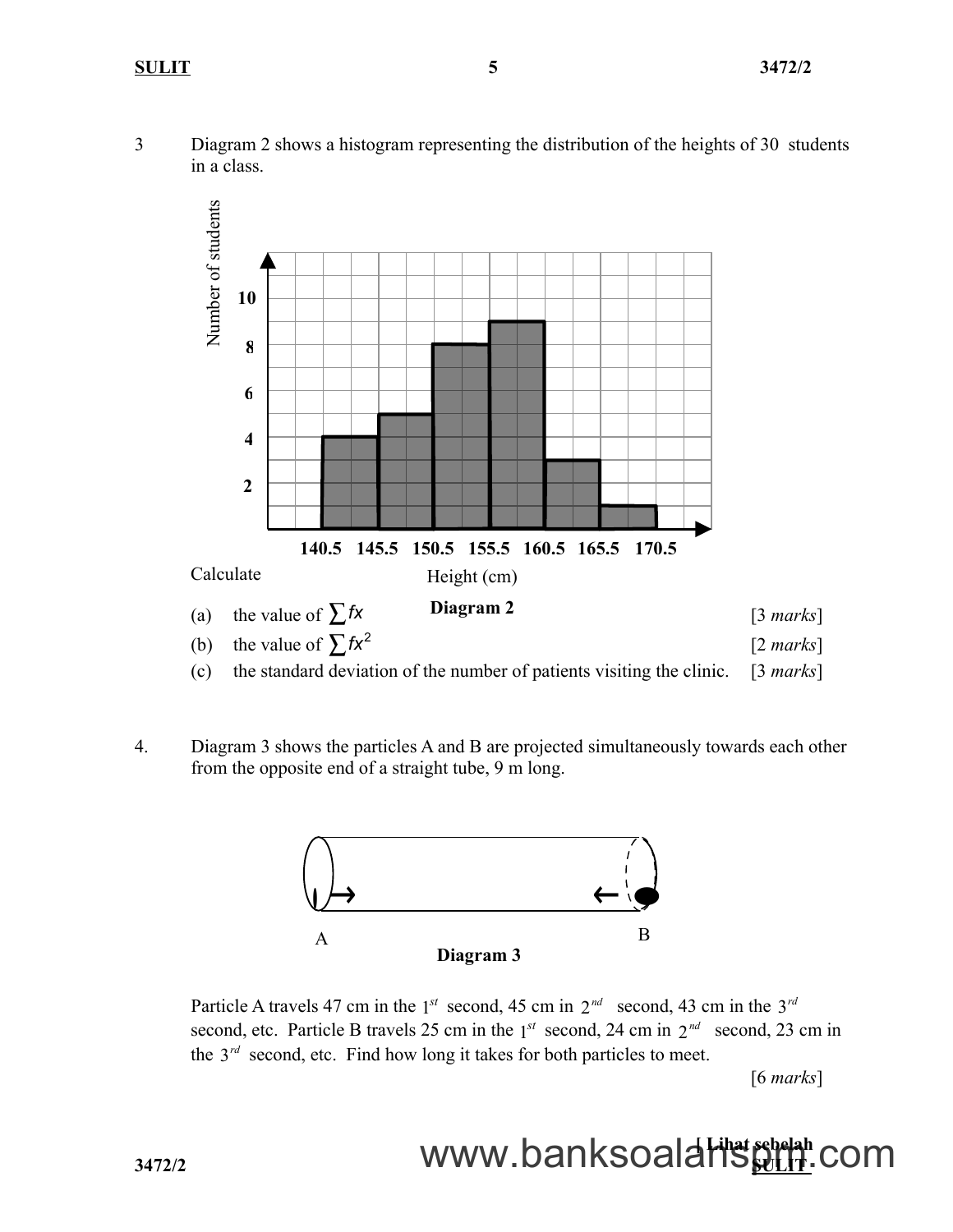3 Diagram 2 shows a histogram representing the distribution of the heights of 30 students in a class.



4. Diagram 3 shows the particles A and B are projected simultaneously towards each other from the opposite end of a straight tube, 9 m long.



Particle A travels 47 cm in the  $1^{st}$  second, 45 cm in  $2^{nd}$  second, 43 cm in the  $3^{rd}$ second, etc. Particle B travels 25 cm in the  $1^{st}$  second, 24 cm in  $2^{nd}$  second, 23 cm in the  $3^{rd}$  second, etc. Find how long it takes for both particles to meet.

[6 *marks*]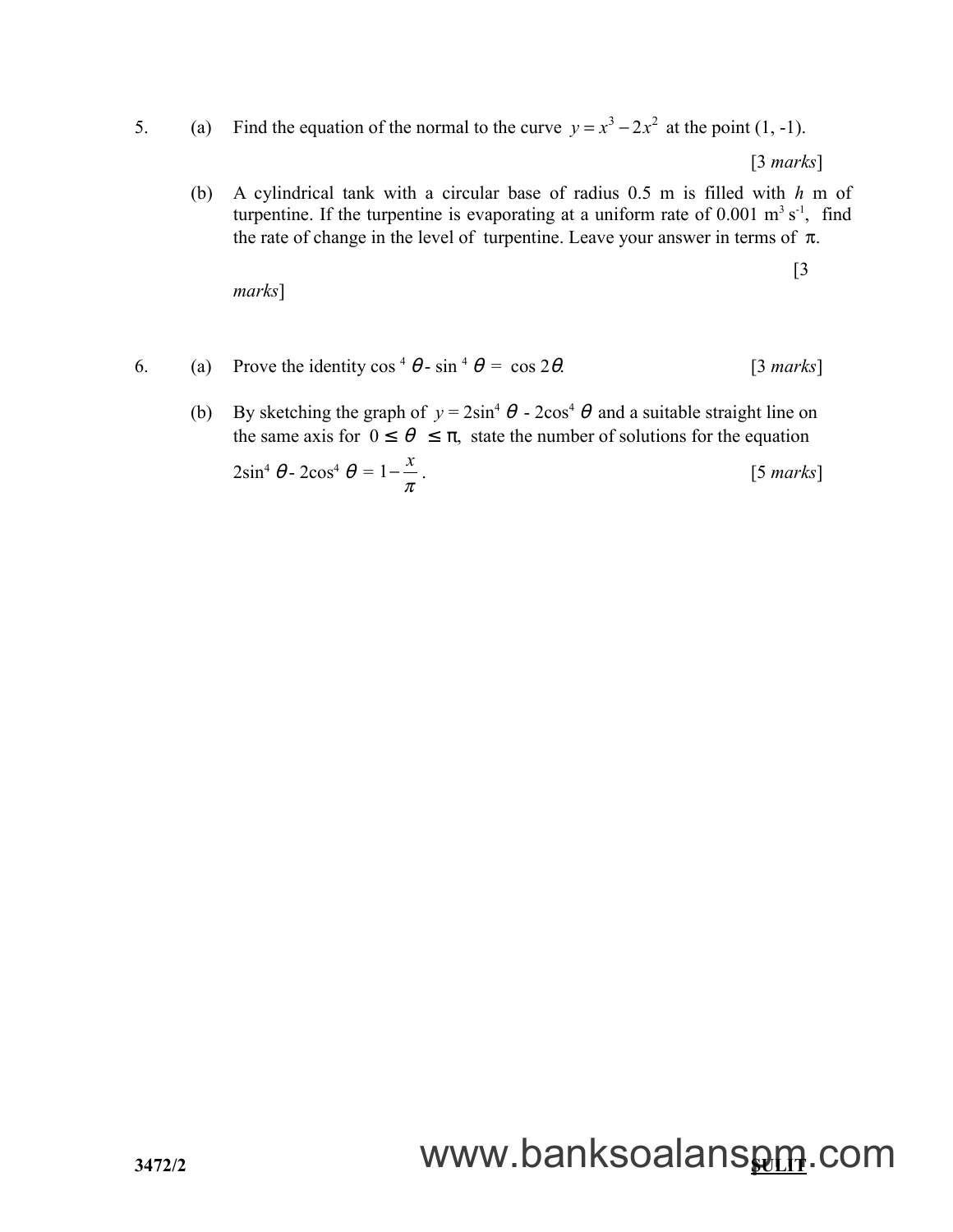5. (a) Find the equation of the normal to the curve  $y = x^3 - 2x^2$  at the point (1, -1).

[3 *marks*]

(b) A cylindrical tank with a circular base of radius 0.5 m is filled with *h* m of turpentine. If the turpentine is evaporating at a uniform rate of  $0.001 \text{ m}^3 \text{ s}^{-1}$ , find the rate of change in the level of turpentine. Leave your answer in terms of  $\pi$ .

[3

*marks*]

- 6. (a) Prove the identity  $\cos^4 \theta \sin^4 \theta = \cos 2\theta$ . [3 *marks*]
	- (b) By sketching the graph of  $y = 2\sin^4 \theta 2\cos^4 \theta$  and a suitable straight line on the same axis for  $0 \le \theta \le \pi$ , state the number of solutions for the equation

$$
2\sin^4\theta - 2\cos^4\theta = 1 - \frac{x}{\pi} \,. \tag{5 marks}
$$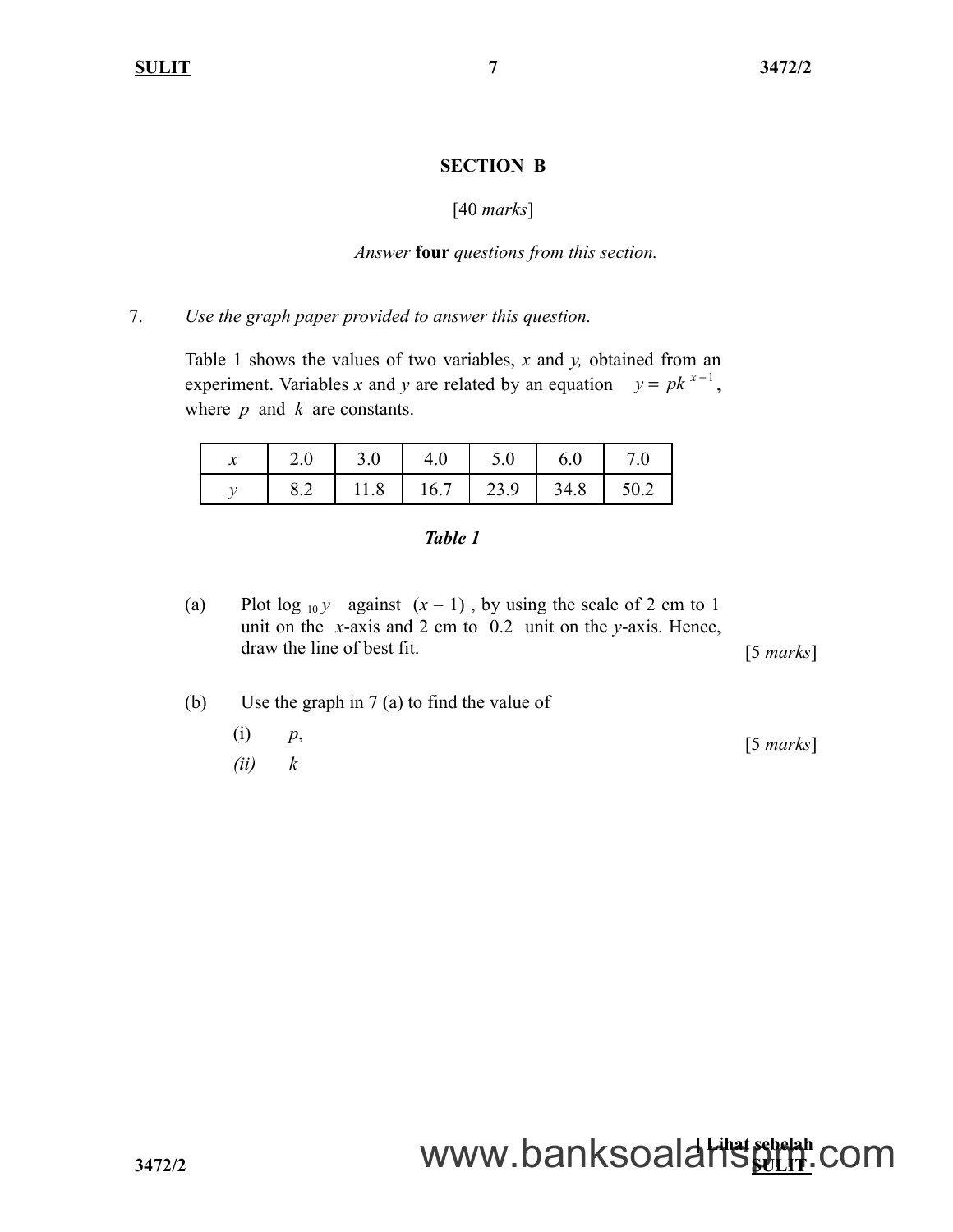#### **SECTION B**

### [40 *marks*]

#### *Answer* **four** *questions from this section.*

#### 7. *Use the graph paper provided to answer this question.*

Table 1 shows the values of two variables, *x* and *y,* obtained from an experiment. Variables *x* and *y* are related by an equation  $y = pk^{x-1}$ , where *p* and *k* are constants.

| - -<br>л | ን በ<br>∠.∪ | 3.0  | 4.0  | 5.0  | 6.0  |      |
|----------|------------|------|------|------|------|------|
|          | 0.2        | 11.8 | 16.7 | 23.9 | 34.8 | 50.2 |

#### *Table 1*

- (a) Plot  $\log_{10} y$  against  $(x 1)$ , by using the scale of 2 cm to 1 unit on the *x*-axis and 2 cm to 0.2 unit on the *y*-axis. Hence, draw the line of best fit. [5 *marks*]
- (b) Use the graph in 7 (a) to find the value of (i) *p*,
	- *(ii) k* [5 *marks*]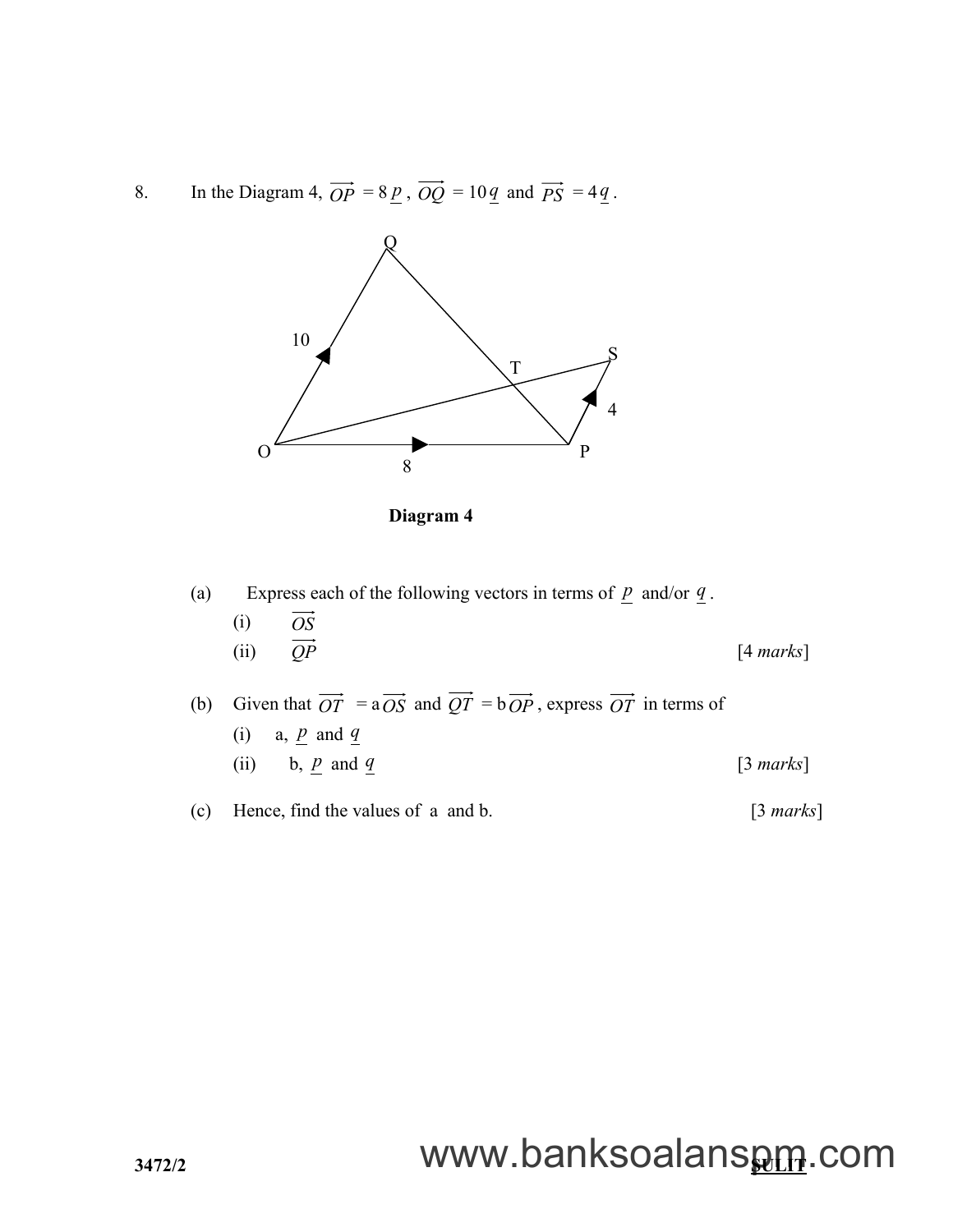8. In the Diagram 4,  $\overrightarrow{OP} = 8 \underline{p}$ ,  $\overrightarrow{OQ} = 10 \underline{q}$  and  $\overrightarrow{PS} = 4 \underline{q}$ .



**Diagram 4**

(a) Express each of the following vectors in terms of  $\underline{p}$  and/or  $\underline{q}$ . (i) *OS* (ii)  $\overrightarrow{OP}$  [4 *marks*]

(b) Given that  $\overrightarrow{OT} = a \overrightarrow{OS}$  and  $\overrightarrow{QT} = b \overrightarrow{OP}$ , express  $\overrightarrow{OT}$  in terms of (i) a,  $\underline{p}$  and  $\underline{q}$ 

(ii) b, 
$$
\underline{p}
$$
 and  $\underline{q}$  [3 marks]

(c) Hence, find the values of a and b. [3 *marks*]

# **3472/2 SULIT** www.banksoalanspm.com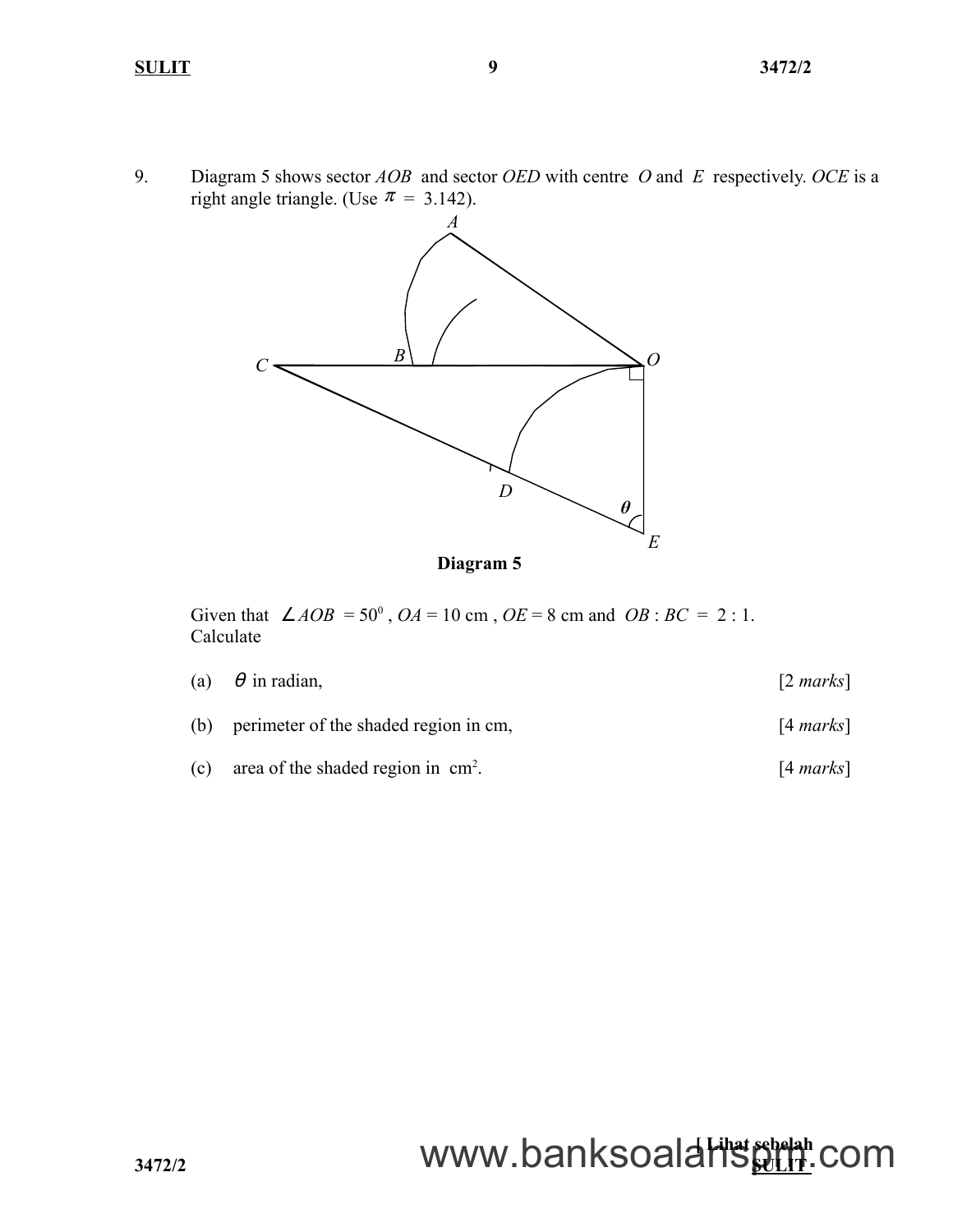9. Diagram 5 shows sector *AOB* and sector *OED* with centre *O* and *E* respectively. *OCE* is a right angle triangle. (Use  $\pi = 3.142$ ).



**Diagram 5**

Given that  $\angle AOB = 50^{\circ}$ ,  $OA = 10$  cm,  $OE = 8$  cm and  $OB : BC = 2 : 1$ . Calculate

|     | (a) $\theta$ in radian,               | $\lceil 2 \text{ marks} \rceil$ |
|-----|---------------------------------------|---------------------------------|
| (b) | perimeter of the shaded region in cm. | $[4 \text{ marks}]$             |

(c) area of the shaded region in  $cm<sup>2</sup>$ . . [4 *marks*]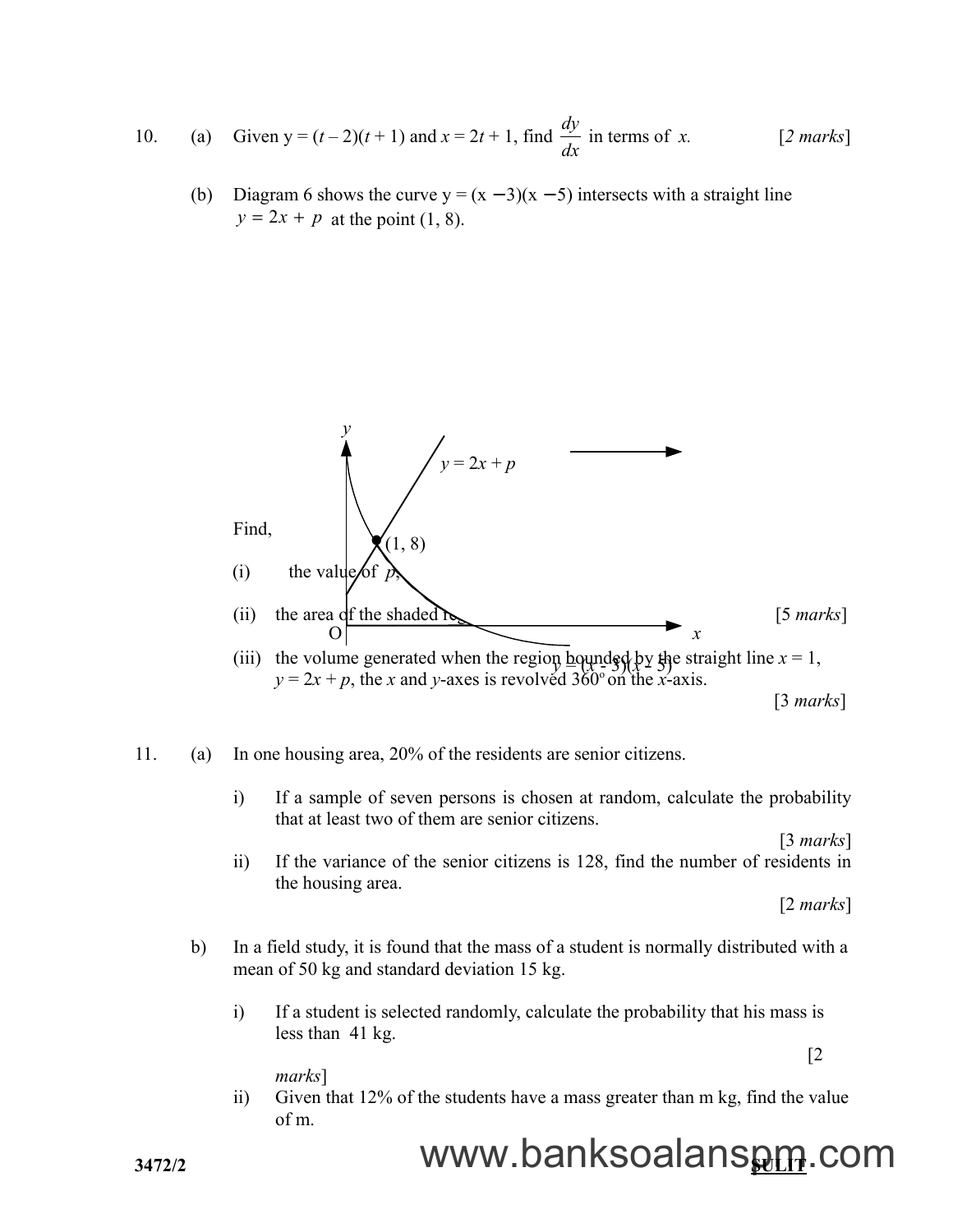10. (a) Given 
$$
y = (t-2)(t+1)
$$
 and  $x = 2t+1$ , find  $\frac{dy}{dx}$  in terms of x. [2 marks]

(b) Diagram 6 shows the curve  $y = (x - 3)(x - 5)$  intersects with a straight line  $y = 2x + p$  at the point (1, 8).





i) If a sample of seven persons is chosen at random, calculate the probability that at least two of them are senior citizens.

[3 *marks*]

 ii) If the variance of the senior citizens is 128, find the number of residents in the housing area.

[2 *marks*]

- b) In a field study, it is found that the mass of a student is normally distributed with a mean of 50 kg and standard deviation 15 kg.
	- i) If a student is selected randomly, calculate the probability that his mass is less than 41 kg. [2

*marks*]

 ii) Given that 12% of the students have a mass greater than m kg, find the value of m.

# **3472/2 SULIT** www.banksoalanspm.com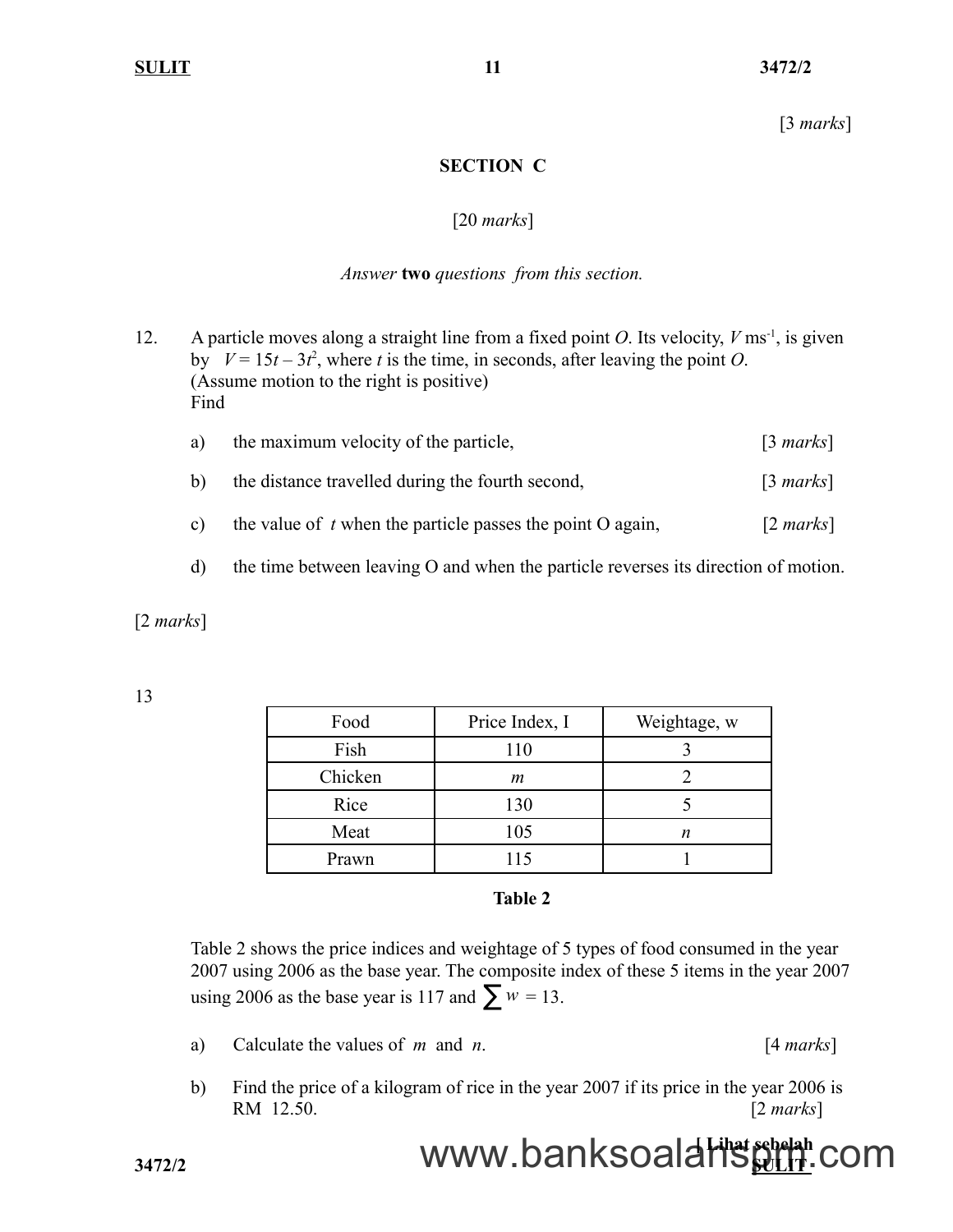[3 *marks*]

## **SECTION C**

### [20 *marks*]

### *Answer* **two** *questions from this section.*

- 12. A particle moves along a straight line from a fixed point *O*. Its velocity,  $V \text{ ms}^{-1}$ , is given by  $V = 15t - 3t^2$ , where *t* is the time, in seconds, after leaving the point *O*. (Assume motion to the right is positive) Find
	- a) the maximum velocity of the particle, [3 *marks*] b) the distance travelled during the fourth second, [3 *marks*] c) the value of *t* when the particle passes the point O again, [2 *marks*]
	- d) the time between leaving O and when the particle reverses its direction of motion.

[2 *marks*]

13

| Food    | Price Index, I | Weightage, w |
|---------|----------------|--------------|
| Fish    | 110            |              |
| Chicken | m              |              |
| Rice    | 130            |              |
| Meat    | 105            | n            |
| Prawn   | 115            |              |

#### **Table 2**

Table 2 shows the price indices and weightage of 5 types of food consumed in the year 2007 using 2006 as the base year. The composite index of these 5 items in the year 2007 using 2006 as the base year is 117 and  $\sum w = 13$ .

- a) Calculate the values of *m* and *n*. [4 *marks*]
- b) Find the price of a kilogram of rice in the year 2007 if its price in the year 2006 is RM 12.50. [2 *marks*]

### **Experience Lines September 2014** 3472/2 **WWW.banksoalaffs shelah** com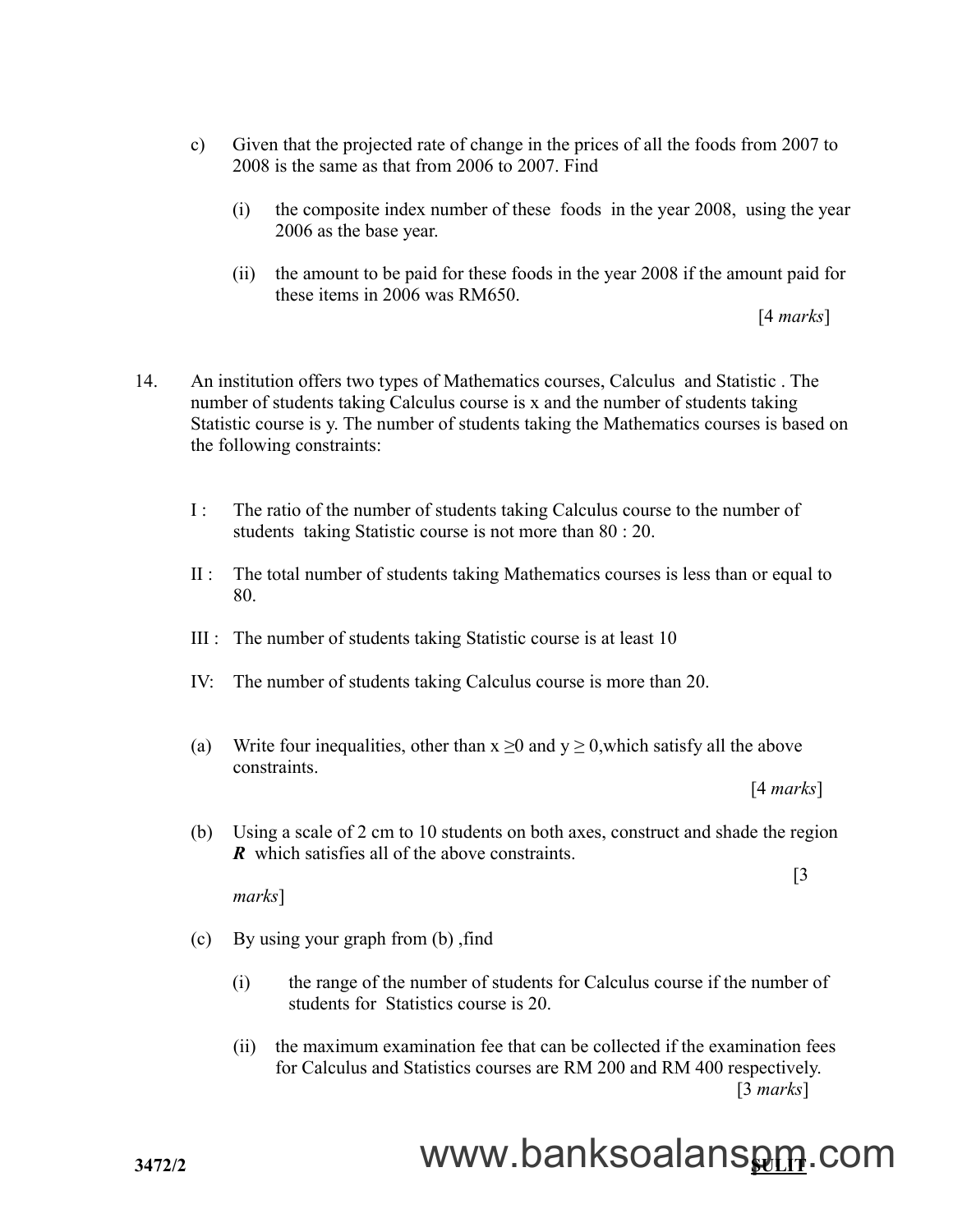- c) Given that the projected rate of change in the prices of all the foods from 2007 to 2008 is the same as that from 2006 to 2007. Find
	- (i) the composite index number of these foods in the year 2008, using the year 2006 as the base year.
	- (ii) the amount to be paid for these foods in the year 2008 if the amount paid for these items in 2006 was RM650.

[4 *marks*]

- 14. An institution offers two types of Mathematics courses, Calculus and Statistic . The number of students taking Calculus course is x and the number of students taking Statistic course is y. The number of students taking the Mathematics courses is based on the following constraints:
	- I : The ratio of the number of students taking Calculus course to the number of students taking Statistic course is not more than 80 : 20.
	- II : The total number of students taking Mathematics courses is less than or equal to 80.
	- III : The number of students taking Statistic course is at least 10
	- IV: The number of students taking Calculus course is more than 20.
	- (a) Write four inequalities, other than  $x \ge 0$  and  $y \ge 0$ , which satisfy all the above constraints.

[4 *marks*]

[3

(b) Using a scale of 2 cm to 10 students on both axes, construct and shade the region *R* which satisfies all of the above constraints.

*marks*]

- (c) By using your graph from (b) ,find
	- (i) the range of the number of students for Calculus course if the number of students for Statistics course is 20.
	- (ii) the maximum examination fee that can be collected if the examination fees for Calculus and Statistics courses are RM 200 and RM 400 respectively. [3 *marks*]

# www.banksoalans<u>pm</u>.com